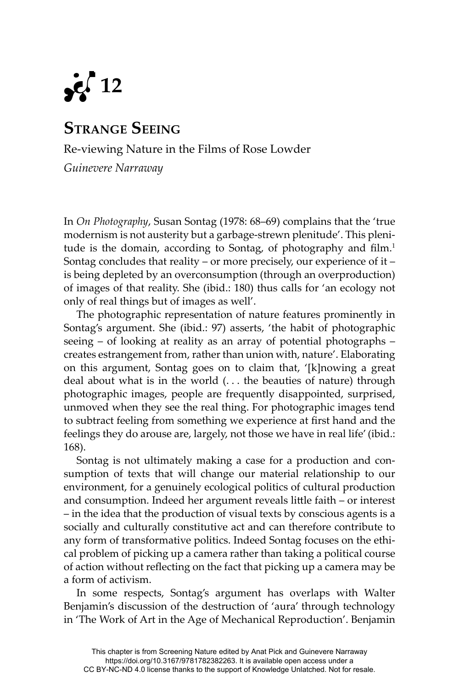## •**<sup>12</sup>**

## **Strange Seeing**

Re-viewing Nature in the Films of Rose Lowder

*Guinevere Narraway*

In *On Photography*, Susan Sontag (1978: 68–69) complains that the 'true modernism is not austerity but a garbage-strewn plenitude'. This plenitude is the domain, according to Sontag, of photography and film.<sup>1</sup> Sontag concludes that reality – or more precisely, our experience of it – is being depleted by an overconsumption (through an overproduction) of images of that reality. She (ibid.: 180) thus calls for 'an ecology not only of real things but of images as well'.

The photographic representation of nature features prominently in Sontag's argument. She (ibid.: 97) asserts, 'the habit of photographic seeing – of looking at reality as an array of potential photographs – creates estrangement from, rather than union with, nature'. Elaborating on this argument, Sontag goes on to claim that, '[k]nowing a great deal about what is in the world (... the beauties of nature) through photographic images, people are frequently disappointed, surprised, unmoved when they see the real thing. For photographic images tend to subtract feeling from something we experience at first hand and the feelings they do arouse are, largely, not those we have in real life' (ibid.: 168).

Sontag is not ultimately making a case for a production and consumption of texts that will change our material relationship to our environment, for a genuinely ecological politics of cultural production and consumption. Indeed her argument reveals little faith – or interest – in the idea that the production of visual texts by conscious agents is a socially and culturally constitutive act and can therefore contribute to any form of transformative politics. Indeed Sontag focuses on the ethical problem of picking up a camera rather than taking a political course of action without reflecting on the fact that picking up a camera may be a form of activism.

In some respects, Sontag's argument has overlaps with Walter Benjamin's discussion of the destruction of 'aura' through technology in 'The Work of Art in the Age of Mechanical Reproduction'. Benjamin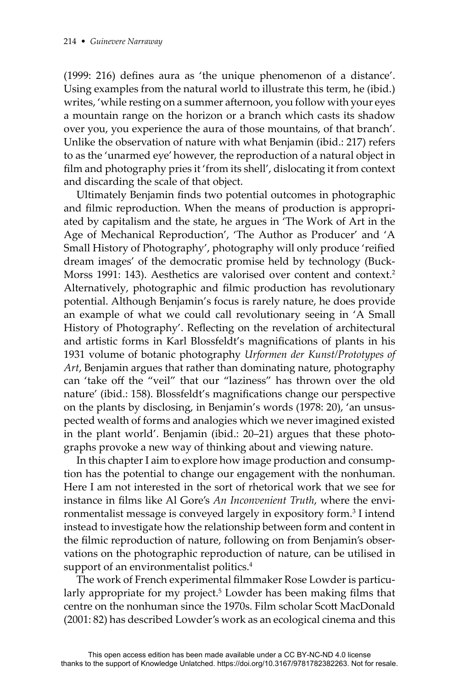(1999: 216) defines aura as 'the unique phenomenon of a distance'. Using examples from the natural world to illustrate this term, he (ibid.) writes, 'while resting on a summer afternoon, you follow with your eyes a mountain range on the horizon or a branch which casts its shadow over you, you experience the aura of those mountains, of that branch'. Unlike the observation of nature with what Benjamin (ibid.: 217) refers to as the 'unarmed eye' however, the reproduction of a natural object in film and photography pries it 'from its shell', dislocating it from context and discarding the scale of that object.

Ultimately Benjamin finds two potential outcomes in photographic and filmic reproduction. When the means of production is appropriated by capitalism and the state, he argues in 'The Work of Art in the Age of Mechanical Reproduction', 'The Author as Producer' and 'A Small History of Photography', photography will only produce 'reified dream images' of the democratic promise held by technology (Buck-Morss 1991: 143). Aesthetics are valorised over content and context.<sup>2</sup> Alternatively, photographic and filmic production has revolutionary potential. Although Benjamin's focus is rarely nature, he does provide an example of what we could call revolutionary seeing in 'A Small History of Photography'. Reflecting on the revelation of architectural and artistic forms in Karl Blossfeldt's magnifications of plants in his 1931 volume of botanic photography *Urformen der Kunst/Prototypes of Art*, Benjamin argues that rather than dominating nature, photography can 'take off the "veil" that our "laziness" has thrown over the old nature' (ibid.: 158). Blossfeldt's magnifications change our perspective on the plants by disclosing, in Benjamin's words (1978: 20), 'an unsuspected wealth of forms and analogies which we never imagined existed in the plant world'. Benjamin (ibid.: 20–21) argues that these photographs provoke a new way of thinking about and viewing nature.

In this chapter I aim to explore how image production and consumption has the potential to change our engagement with the nonhuman. Here I am not interested in the sort of rhetorical work that we see for instance in films like Al Gore's *An Inconvenient Truth*, where the environmentalist message is conveyed largely in expository form.<sup>3</sup> I intend instead to investigate how the relationship between form and content in the filmic reproduction of nature, following on from Benjamin's observations on the photographic reproduction of nature, can be utilised in support of an environmentalist politics.<sup>4</sup>

The work of French experimental filmmaker Rose Lowder is particularly appropriate for my project.<sup>5</sup> Lowder has been making films that centre on the nonhuman since the 1970s. Film scholar Scott MacDonald (2001: 82) has described Lowder's work as an ecological cinema and this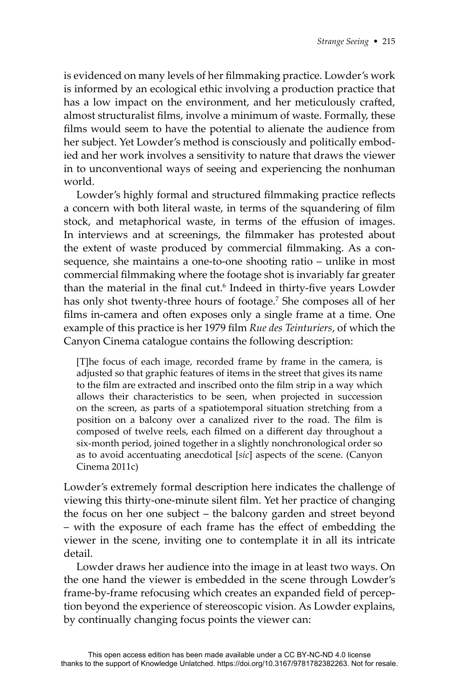is evidenced on many levels of her filmmaking practice. Lowder's work is informed by an ecological ethic involving a production practice that has a low impact on the environment, and her meticulously crafted, almost structuralist films, involve a minimum of waste. Formally, these films would seem to have the potential to alienate the audience from her subject. Yet Lowder's method is consciously and politically embodied and her work involves a sensitivity to nature that draws the viewer in to unconventional ways of seeing and experiencing the nonhuman world.

Lowder's highly formal and structured filmmaking practice reflects a concern with both literal waste, in terms of the squandering of film stock, and metaphorical waste, in terms of the effusion of images. In interviews and at screenings, the filmmaker has protested about the extent of waste produced by commercial filmmaking. As a consequence, she maintains a one-to-one shooting ratio – unlike in most commercial filmmaking where the footage shot is invariably far greater than the material in the final cut.<sup>6</sup> Indeed in thirty-five years Lowder has only shot twenty-three hours of footage.<sup>7</sup> She composes all of her films in-camera and often exposes only a single frame at a time. One example of this practice is her 1979 film *Rue des Teinturiers*, of which the Canyon Cinema catalogue contains the following description:

[T]he focus of each image, recorded frame by frame in the camera, is adjusted so that graphic features of items in the street that gives its name to the film are extracted and inscribed onto the film strip in a way which allows their characteristics to be seen, when projected in succession on the screen, as parts of a spatiotemporal situation stretching from a position on a balcony over a canalized river to the road. The film is composed of twelve reels, each filmed on a different day throughout a six-month period, joined together in a slightly nonchronological order so as to avoid accentuating anecdotical [*sic*] aspects of the scene. (Canyon Cinema 2011c)

Lowder's extremely formal description here indicates the challenge of viewing this thirty-one-minute silent film. Yet her practice of changing the focus on her one subject – the balcony garden and street beyond – with the exposure of each frame has the effect of embedding the viewer in the scene, inviting one to contemplate it in all its intricate detail.

Lowder draws her audience into the image in at least two ways. On the one hand the viewer is embedded in the scene through Lowder's frame-by-frame refocusing which creates an expanded field of perception beyond the experience of stereoscopic vision. As Lowder explains, by continually changing focus points the viewer can: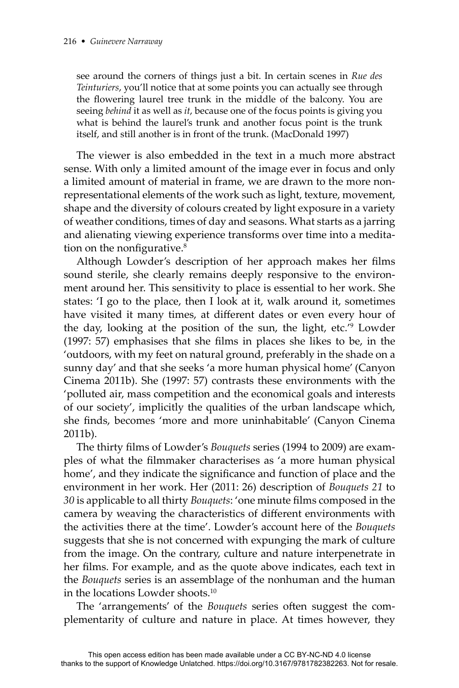see around the corners of things just a bit. In certain scenes in *Rue des Teinturiers*, you'll notice that at some points you can actually see through the flowering laurel tree trunk in the middle of the balcony. You are seeing *behind* it as well as *it*, because one of the focus points is giving you what is behind the laurel's trunk and another focus point is the trunk itself, and still another is in front of the trunk. (MacDonald 1997)

The viewer is also embedded in the text in a much more abstract sense. With only a limited amount of the image ever in focus and only a limited amount of material in frame, we are drawn to the more nonrepresentational elements of the work such as light, texture, movement, shape and the diversity of colours created by light exposure in a variety of weather conditions, times of day and seasons. What starts as a jarring and alienating viewing experience transforms over time into a meditation on the nonfigurative. $8$ 

Although Lowder's description of her approach makes her films sound sterile, she clearly remains deeply responsive to the environment around her. This sensitivity to place is essential to her work. She states: 'I go to the place, then I look at it, walk around it, sometimes have visited it many times, at different dates or even every hour of the day, looking at the position of the sun, the light, etc.'9 Lowder (1997: 57) emphasises that she films in places she likes to be, in the 'outdoors, with my feet on natural ground, preferably in the shade on a sunny day' and that she seeks 'a more human physical home' (Canyon Cinema 2011b). She (1997: 57) contrasts these environments with the 'polluted air, mass competition and the economical goals and interests of our society', implicitly the qualities of the urban landscape which, she finds, becomes 'more and more uninhabitable' (Canyon Cinema 2011b).

The thirty films of Lowder's *Bouquets* series (1994 to 2009) are examples of what the filmmaker characterises as 'a more human physical home', and they indicate the significance and function of place and the environment in her work. Her (2011: 26) description of *Bouquets 21* to *30* is applicable to all thirty *Bouquets*: 'one minute films composed in the camera by weaving the characteristics of different environments with the activities there at the time'. Lowder's account here of the *Bouquets* suggests that she is not concerned with expunging the mark of culture from the image. On the contrary, culture and nature interpenetrate in her films. For example, and as the quote above indicates, each text in the *Bouquets* series is an assemblage of the nonhuman and the human in the locations Lowder shoots.10

The 'arrangements' of the *Bouquets* series often suggest the complementarity of culture and nature in place. At times however, they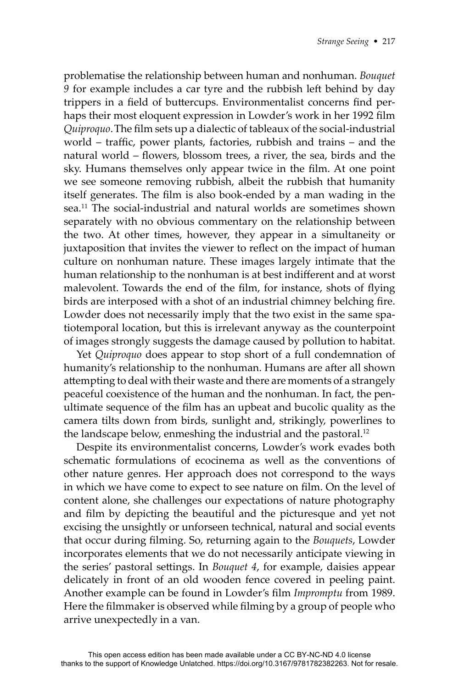problematise the relationship between human and nonhuman. *Bouquet 9* for example includes a car tyre and the rubbish left behind by day trippers in a field of buttercups. Environmentalist concerns find perhaps their most eloquent expression in Lowder's work in her 1992 film *Quiproquo*.The film sets up a dialectic of tableaux of the social-industrial world – traffic, power plants, factories, rubbish and trains – and the natural world – flowers, blossom trees, a river, the sea, birds and the sky. Humans themselves only appear twice in the film. At one point we see someone removing rubbish, albeit the rubbish that humanity itself generates. The film is also book-ended by a man wading in the sea.11 The social-industrial and natural worlds are sometimes shown separately with no obvious commentary on the relationship between the two. At other times, however, they appear in a simultaneity or juxtaposition that invites the viewer to reflect on the impact of human culture on nonhuman nature. These images largely intimate that the human relationship to the nonhuman is at best indifferent and at worst malevolent. Towards the end of the film, for instance, shots of flying birds are interposed with a shot of an industrial chimney belching fire. Lowder does not necessarily imply that the two exist in the same spatiotemporal location, but this is irrelevant anyway as the counterpoint of images strongly suggests the damage caused by pollution to habitat.

Yet *Quiproquo* does appear to stop short of a full condemnation of humanity's relationship to the nonhuman. Humans are after all shown attempting to deal with their waste and there are moments of a strangely peaceful coexistence of the human and the nonhuman. In fact, the penultimate sequence of the film has an upbeat and bucolic quality as the camera tilts down from birds, sunlight and, strikingly, powerlines to the landscape below, enmeshing the industrial and the pastoral.<sup>12</sup>

Despite its environmentalist concerns, Lowder's work evades both schematic formulations of ecocinema as well as the conventions of other nature genres. Her approach does not correspond to the ways in which we have come to expect to see nature on film. On the level of content alone, she challenges our expectations of nature photography and film by depicting the beautiful and the picturesque and yet not excising the unsightly or unforseen technical, natural and social events that occur during filming. So, returning again to the *Bouquets*, Lowder incorporates elements that we do not necessarily anticipate viewing in the series' pastoral settings. In *Bouquet 4*, for example, daisies appear delicately in front of an old wooden fence covered in peeling paint. Another example can be found in Lowder's film *Impromptu* from 1989. Here the filmmaker is observed while filming by a group of people who arrive unexpectedly in a van.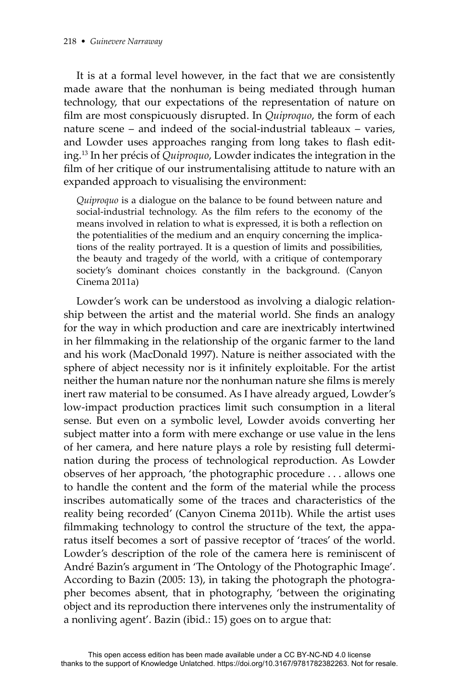It is at a formal level however, in the fact that we are consistently made aware that the nonhuman is being mediated through human technology, that our expectations of the representation of nature on film are most conspicuously disrupted. In *Quiproquo*, the form of each nature scene – and indeed of the social-industrial tableaux – varies, and Lowder uses approaches ranging from long takes to flash editing.13 In her précis of *Quiproquo*, Lowder indicates the integration in the film of her critique of our instrumentalising attitude to nature with an expanded approach to visualising the environment:

*Quiproquo* is a dialogue on the balance to be found between nature and social-industrial technology. As the film refers to the economy of the means involved in relation to what is expressed, it is both a reflection on the potentialities of the medium and an enquiry concerning the implications of the reality portrayed. It is a question of limits and possibilities, the beauty and tragedy of the world, with a critique of contemporary society's dominant choices constantly in the background. (Canyon Cinema 2011a)

Lowder's work can be understood as involving a dialogic relationship between the artist and the material world. She finds an analogy for the way in which production and care are inextricably intertwined in her filmmaking in the relationship of the organic farmer to the land and his work (MacDonald 1997). Nature is neither associated with the sphere of abject necessity nor is it infinitely exploitable. For the artist neither the human nature nor the nonhuman nature she films is merely inert raw material to be consumed. As I have already argued, Lowder's low-impact production practices limit such consumption in a literal sense. But even on a symbolic level, Lowder avoids converting her subject matter into a form with mere exchange or use value in the lens of her camera, and here nature plays a role by resisting full determination during the process of technological reproduction. As Lowder observes of her approach, 'the photographic procedure . . . allows one to handle the content and the form of the material while the process inscribes automatically some of the traces and characteristics of the reality being recorded' (Canyon Cinema 2011b). While the artist uses filmmaking technology to control the structure of the text, the apparatus itself becomes a sort of passive receptor of 'traces' of the world. Lowder's description of the role of the camera here is reminiscent of André Bazin's argument in 'The Ontology of the Photographic Image'. According to Bazin (2005: 13), in taking the photograph the photographer becomes absent, that in photography, 'between the originating object and its reproduction there intervenes only the instrumentality of a nonliving agent'. Bazin (ibid.: 15) goes on to argue that: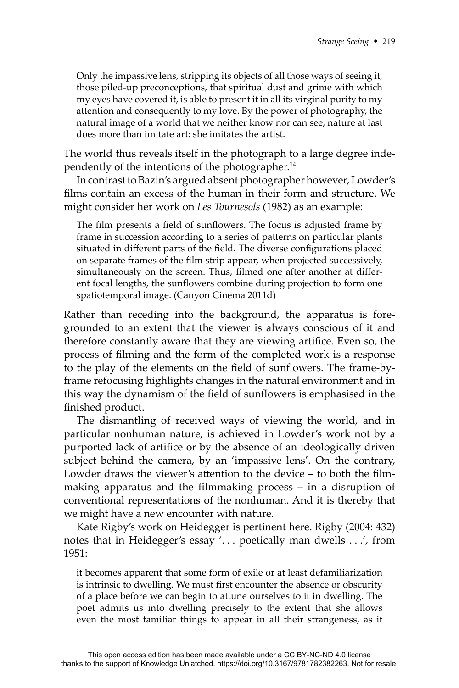Only the impassive lens, stripping its objects of all those ways of seeing it, those piled-up preconceptions, that spiritual dust and grime with which my eyes have covered it, is able to present it in all its virginal purity to my attention and consequently to my love. By the power of photography, the natural image of a world that we neither know nor can see, nature at last does more than imitate art: she imitates the artist.

The world thus reveals itself in the photograph to a large degree independently of the intentions of the photographer.<sup>14</sup>

In contrast to Bazin's argued absent photographer however, Lowder's films contain an excess of the human in their form and structure. We might consider her work on *Les Tournesols* (1982) as an example:

The film presents a field of sunflowers. The focus is adjusted frame by frame in succession according to a series of patterns on particular plants situated in different parts of the field. The diverse configurations placed on separate frames of the film strip appear, when projected successively, simultaneously on the screen. Thus, filmed one after another at different focal lengths, the sunflowers combine during projection to form one spatiotemporal image. (Canyon Cinema 2011d)

Rather than receding into the background, the apparatus is foregrounded to an extent that the viewer is always conscious of it and therefore constantly aware that they are viewing artifice. Even so, the process of filming and the form of the completed work is a response to the play of the elements on the field of sunflowers. The frame-byframe refocusing highlights changes in the natural environment and in this way the dynamism of the field of sunflowers is emphasised in the finished product.

The dismantling of received ways of viewing the world, and in particular nonhuman nature, is achieved in Lowder's work not by a purported lack of artifice or by the absence of an ideologically driven subject behind the camera, by an 'impassive lens'. On the contrary, Lowder draws the viewer's attention to the device – to both the filmmaking apparatus and the filmmaking process – in a disruption of conventional representations of the nonhuman. And it is thereby that we might have a new encounter with nature.

Kate Rigby's work on Heidegger is pertinent here. Rigby (2004: 432) notes that in Heidegger's essay '... poetically man dwells ...', from 1951:

it becomes apparent that some form of exile or at least defamiliarization is intrinsic to dwelling. We must first encounter the absence or obscurity of a place before we can begin to attune ourselves to it in dwelling. The poet admits us into dwelling precisely to the extent that she allows even the most familiar things to appear in all their strangeness, as if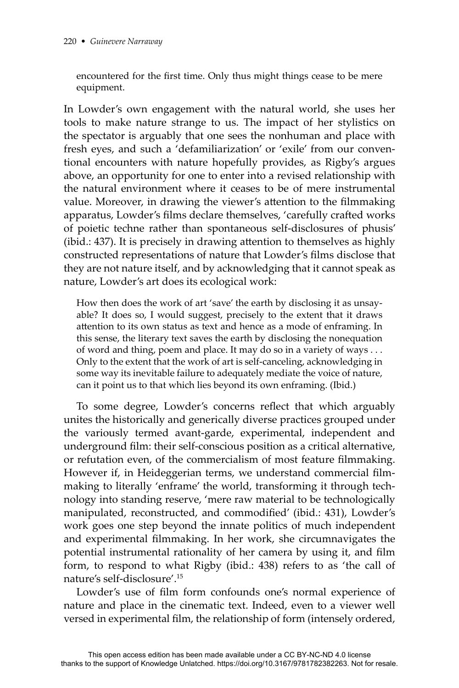encountered for the first time. Only thus might things cease to be mere equipment.

In Lowder's own engagement with the natural world, she uses her tools to make nature strange to us. The impact of her stylistics on the spectator is arguably that one sees the nonhuman and place with fresh eyes, and such a 'defamiliarization' or 'exile' from our conventional encounters with nature hopefully provides, as Rigby's argues above, an opportunity for one to enter into a revised relationship with the natural environment where it ceases to be of mere instrumental value. Moreover, in drawing the viewer's attention to the filmmaking apparatus, Lowder's films declare themselves, 'carefully crafted works of poietic techne rather than spontaneous self-disclosures of phusis' (ibid.: 437). It is precisely in drawing attention to themselves as highly constructed representations of nature that Lowder's films disclose that they are not nature itself, and by acknowledging that it cannot speak as nature, Lowder's art does its ecological work:

How then does the work of art 'save' the earth by disclosing it as unsayable? It does so, I would suggest, precisely to the extent that it draws attention to its own status as text and hence as a mode of enframing. In this sense, the literary text saves the earth by disclosing the nonequation of word and thing, poem and place. It may do so in a variety of ways . . . Only to the extent that the work of art is self-canceling, acknowledging in some way its inevitable failure to adequately mediate the voice of nature, can it point us to that which lies beyond its own enframing. (Ibid.)

To some degree, Lowder's concerns reflect that which arguably unites the historically and generically diverse practices grouped under the variously termed avant-garde, experimental, independent and underground film: their self-conscious position as a critical alternative, or refutation even, of the commercialism of most feature filmmaking. However if, in Heideggerian terms, we understand commercial filmmaking to literally 'enframe' the world, transforming it through technology into standing reserve, 'mere raw material to be technologically manipulated, reconstructed, and commodified' (ibid.: 431), Lowder's work goes one step beyond the innate politics of much independent and experimental filmmaking. In her work, she circumnavigates the potential instrumental rationality of her camera by using it, and film form, to respond to what Rigby (ibid.: 438) refers to as 'the call of nature's self-disclosure'.15

Lowder's use of film form confounds one's normal experience of nature and place in the cinematic text. Indeed, even to a viewer well versed in experimental film, the relationship of form (intensely ordered,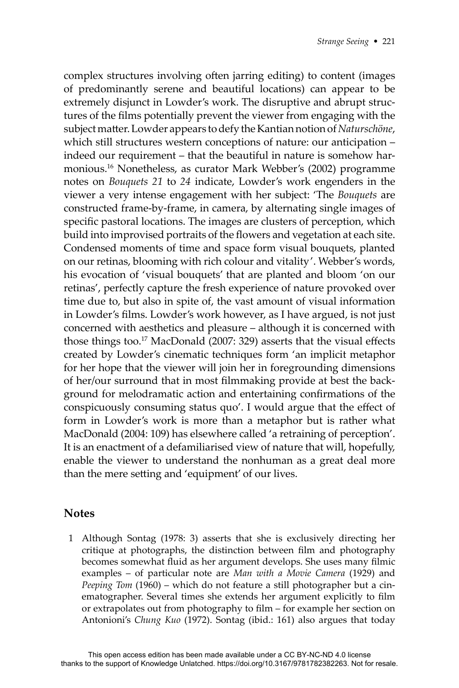complex structures involving often jarring editing) to content (images of predominantly serene and beautiful locations) can appear to be extremely disjunct in Lowder's work. The disruptive and abrupt structures of the films potentially prevent the viewer from engaging with the subject matter. Lowder appears to defy the Kantian notion of *Naturschöne*, which still structures western conceptions of nature: our anticipation – indeed our requirement – that the beautiful in nature is somehow harmonious.16 Nonetheless, as curator Mark Webber's (2002) programme notes on *Bouquets 21* to *24* indicate, Lowder's work engenders in the viewer a very intense engagement with her subject: 'The *Bouquets* are constructed frame-by-frame, in camera, by alternating single images of specific pastoral locations. The images are clusters of perception, which build into improvised portraits of the flowers and vegetation at each site. Condensed moments of time and space form visual bouquets, planted on our retinas, blooming with rich colour and vitality'. Webber's words, his evocation of 'visual bouquets' that are planted and bloom 'on our retinas', perfectly capture the fresh experience of nature provoked over time due to, but also in spite of, the vast amount of visual information in Lowder's films. Lowder's work however, as I have argued, is not just concerned with aesthetics and pleasure – although it is concerned with those things too.<sup>17</sup> MacDonald (2007: 329) asserts that the visual effects created by Lowder's cinematic techniques form 'an implicit metaphor for her hope that the viewer will join her in foregrounding dimensions of her/our surround that in most filmmaking provide at best the background for melodramatic action and entertaining confirmations of the conspicuously consuming status quo'. I would argue that the effect of form in Lowder's work is more than a metaphor but is rather what MacDonald (2004: 109) has elsewhere called 'a retraining of perception'. It is an enactment of a defamiliarised view of nature that will, hopefully, enable the viewer to understand the nonhuman as a great deal more than the mere setting and 'equipment' of our lives.

## **Notes**

 1 Although Sontag (1978: 3) asserts that she is exclusively directing her critique at photographs, the distinction between film and photography becomes somewhat fluid as her argument develops. She uses many filmic examples – of particular note are *Man with a Movie Camera* (1929) and *Peeping Tom* (1960) – which do not feature a still photographer but a cinematographer. Several times she extends her argument explicitly to film or extrapolates out from photography to film – for example her section on Antonioni's *Chung Kuo* (1972). Sontag (ibid.: 161) also argues that today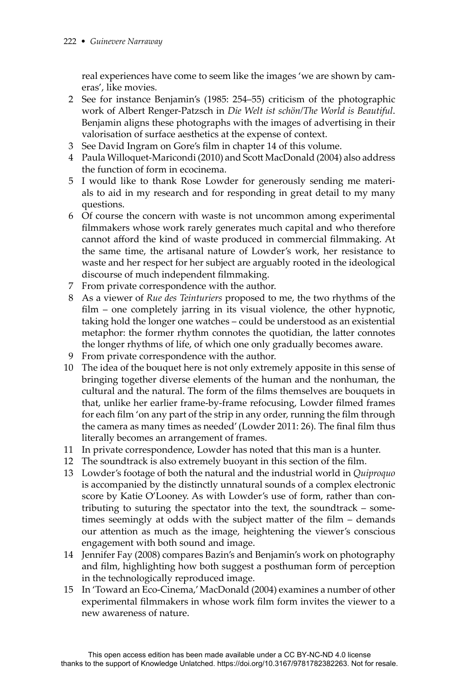real experiences have come to seem like the images 'we are shown by cameras', like movies.

- 2 See for instance Benjamin's (1985: 254–55) criticism of the photographic work of Albert Renger-Patzsch in *Die Welt ist schön/The World is Beautiful*. Benjamin aligns these photographs with the images of advertising in their valorisation of surface aesthetics at the expense of context.
- 3 See David Ingram on Gore's film in chapter 14 of this volume.
- 4 Paula Willoquet-Maricondi (2010) and Scott MacDonald (2004) also address the function of form in ecocinema.
- 5 I would like to thank Rose Lowder for generously sending me materials to aid in my research and for responding in great detail to my many questions.
- 6 Of course the concern with waste is not uncommon among experimental filmmakers whose work rarely generates much capital and who therefore cannot afford the kind of waste produced in commercial filmmaking. At the same time, the artisanal nature of Lowder's work, her resistance to waste and her respect for her subject are arguably rooted in the ideological discourse of much independent filmmaking.
- 7 From private correspondence with the author.
- 8 As a viewer of *Rue des Teinturiers* proposed to me, the two rhythms of the film – one completely jarring in its visual violence, the other hypnotic, taking hold the longer one watches – could be understood as an existential metaphor: the former rhythm connotes the quotidian, the latter connotes the longer rhythms of life, of which one only gradually becomes aware.
- 9 From private correspondence with the author.
- 10 The idea of the bouquet here is not only extremely apposite in this sense of bringing together diverse elements of the human and the nonhuman, the cultural and the natural. The form of the films themselves are bouquets in that, unlike her earlier frame-by-frame refocusing, Lowder filmed frames for each film 'on any part of the strip in any order, running the film through the camera as many times as needed' (Lowder 2011: 26). The final film thus literally becomes an arrangement of frames.
- 11 In private correspondence, Lowder has noted that this man is a hunter.
- 12 The soundtrack is also extremely buoyant in this section of the film.
- 13 Lowder's footage of both the natural and the industrial world in *Quiproquo*  is accompanied by the distinctly unnatural sounds of a complex electronic score by Katie O'Looney. As with Lowder's use of form, rather than contributing to suturing the spectator into the text, the soundtrack – sometimes seemingly at odds with the subject matter of the film – demands our attention as much as the image, heightening the viewer's conscious engagement with both sound and image.
- 14 Jennifer Fay (2008) compares Bazin's and Benjamin's work on photography and film, highlighting how both suggest a posthuman form of perception in the technologically reproduced image.
- 15 In 'Toward an Eco-Cinema,' MacDonald (2004) examines a number of other experimental filmmakers in whose work film form invites the viewer to a new awareness of nature.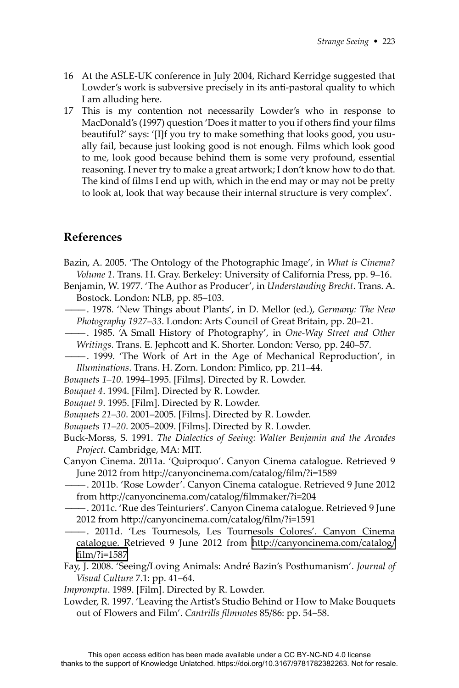- 16 At the ASLE-UK conference in July 2004, Richard Kerridge suggested that Lowder's work is subversive precisely in its anti-pastoral quality to which I am alluding here.
- 17 This is my contention not necessarily Lowder's who in response to MacDonald's (1997) question 'Does it matter to you if others find your films beautiful?' says: '[I]f you try to make something that looks good, you usually fail, because just looking good is not enough. Films which look good to me, look good because behind them is some very profound, essential reasoning. I never try to make a great artwork; I don't know how to do that. The kind of films I end up with, which in the end may or may not be pretty to look at, look that way because their internal structure is very complex'.

## **References**

- Bazin, A. 2005. 'The Ontology of the Photographic Image', in *What is Cinema? Volume 1*. Trans. H. Gray. Berkeley: University of California Press, pp. 9–16.
- Benjamin, W. 1977. 'The Author as Producer', in *Understanding Brecht*. Trans. A. Bostock. London: NLB, pp. 85–103.
- ———. 1978. 'New Things about Plants', in D. Mellor (ed.), *Germany: The New Photography 1927–33*. London: Arts Council of Great Britain, pp. 20–21.
- ———. 1985. 'A Small History of Photography', in *One-Way Street and Other Writings*. Trans. E. Jephcott and K. Shorter. London: Verso, pp. 240–57.
- ———. 1999. 'The Work of Art in the Age of Mechanical Reproduction', in *Illuminations*. Trans. H. Zorn. London: Pimlico, pp. 211–44.
- *Bouquets 1–10*. 1994–1995. [Films]. Directed by R. Lowder.
- *Bouquet 4*. 1994. [Film]. Directed by R. Lowder.
- *Bouquet 9*. 1995. [Film]. Directed by R. Lowder.
- *Bouquets 21–30*. 2001–2005. [Films]. Directed by R. Lowder.
- *Bouquets 11–20*. 2005–2009. [Films]. Directed by R. Lowder.
- Buck-Morss, S. 1991. *The Dialectics of Seeing: Walter Benjamin and the Arcades Project*. Cambridge, MA: MIT.
- Canyon Cinema. 2011a. 'Quiproquo'. Canyon Cinema catalogue. Retrieved 9 June 2012 from http://canyoncinema.com/catalog/film/?i=1589
- ———. 2011b. 'Rose Lowder'. Canyon Cinema catalogue. Retrieved 9 June 2012 from http://canyoncinema.com/catalog/filmmaker/?i=204
- ———. 2011c. 'Rue des Teinturiers'. Canyon Cinema catalogue. Retrieved 9 June 2012 from http://canyoncinema.com/catalog/film/?i=1591
- ———. 2011d. 'Les Tournesols, Les Tournesols Colores'. Canyon Cinema catalogue. Retrieved 9 June 2012 from [http://canyoncinema.com/catalog/](http://canyoncinema.com/catalog/film/?i=1587) [film/?i=1587](http://canyoncinema.com/catalog/film/?i=1587)
- Fay, J. 2008. 'Seeing/Loving Animals: André Bazin's Posthumanism'. *Journal of Visual Culture* 7.1: pp. 41–64.
- *Impromptu*. 1989. [Film]. Directed by R. Lowder.
- Lowder, R. 1997. 'Leaving the Artist's Studio Behind or How to Make Bouquets out of Flowers and Film'. *Cantrills filmnotes* 85/86: pp. 54–58.